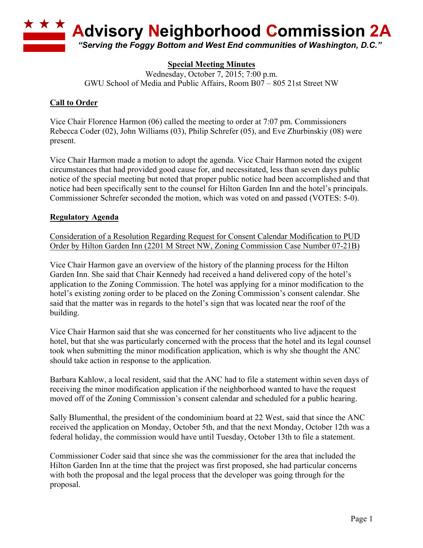

## **Special Meeting Minutes**

Wednesday, October 7, 2015; 7:00 p.m. GWU School of Media and Public Affairs, Room B07 – 805 21st Street NW

## **Call to Order**

Vice Chair Florence Harmon (06) called the meeting to order at 7:07 pm. Commissioners Rebecca Coder (02), John Williams (03), Philip Schrefer (05), and Eve Zhurbinskiy (08) were present.

Vice Chair Harmon made a motion to adopt the agenda. Vice Chair Harmon noted the exigent circumstances that had provided good cause for, and necessitated, less than seven days public notice of the special meeting but noted that proper public notice had been accomplished and that notice had been specifically sent to the counsel for Hilton Garden Inn and the hotel's principals. Commissioner Schrefer seconded the motion, which was voted on and passed (VOTES: 5-0).

## **Regulatory Agenda**

Consideration of a Resolution Regarding Request for Consent Calendar Modification to PUD Order by Hilton Garden Inn (2201 M Street NW, Zoning Commission Case Number 07-21B)

Vice Chair Harmon gave an overview of the history of the planning process for the Hilton Garden Inn. She said that Chair Kennedy had received a hand delivered copy of the hotel's application to the Zoning Commission. The hotel was applying for a minor modification to the hotel's existing zoning order to be placed on the Zoning Commission's consent calendar. She said that the matter was in regards to the hotel's sign that was located near the roof of the building.

Vice Chair Harmon said that she was concerned for her constituents who live adjacent to the hotel, but that she was particularly concerned with the process that the hotel and its legal counsel took when submitting the minor modification application, which is why she thought the ANC should take action in response to the application.

Barbara Kahlow, a local resident, said that the ANC had to file a statement within seven days of receiving the minor modification application if the neighborhood wanted to have the request moved off of the Zoning Commission's consent calendar and scheduled for a public hearing.

Sally Blumenthal, the president of the condominium board at 22 West, said that since the ANC received the application on Monday, October 5th, and that the next Monday, October 12th was a federal holiday, the commission would have until Tuesday, October 13th to file a statement.

Commissioner Coder said that since she was the commissioner for the area that included the Hilton Garden Inn at the time that the project was first proposed, she had particular concerns with both the proposal and the legal process that the developer was going through for the proposal.